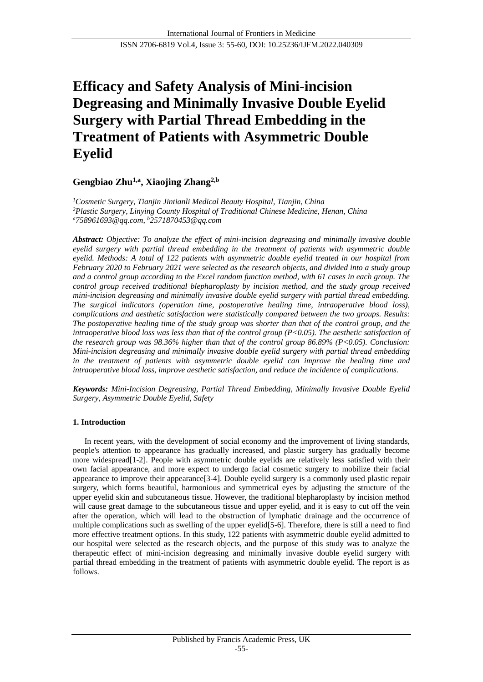# **Efficacy and Safety Analysis of Mini-incision Degreasing and Minimally Invasive Double Eyelid Surgery with Partial Thread Embedding in the Treatment of Patients with Asymmetric Double Eyelid**

## **Gengbiao Zhu1,a , Xiaojing Zhang2,b**

*<sup>1</sup>Cosmetic Surgery, Tianjin Jintianli Medical Beauty Hospital, Tianjin, China <sup>2</sup>Plastic Surgery, Linying County Hospital of Traditional Chinese Medicine, Henan, China <sup>a</sup>758961693@qq.com, <sup>b</sup>2571870453@qq.com*

*Abstract: Objective: To analyze the effect of mini-incision degreasing and minimally invasive double eyelid surgery with partial thread embedding in the treatment of patients with asymmetric double eyelid. Methods: A total of 122 patients with asymmetric double eyelid treated in our hospital from February 2020 to February 2021 were selected as the research objects, and divided into a study group and a control group according to the Excel random function method, with 61 cases in each group. The control group received traditional blepharoplasty by incision method, and the study group received mini-incision degreasing and minimally invasive double eyelid surgery with partial thread embedding. The surgical indicators (operation time, postoperative healing time, intraoperative blood loss), complications and aesthetic satisfaction were statistically compared between the two groups. Results: The postoperative healing time of the study group was shorter than that of the control group, and the intraoperative blood loss was less than that of the control group (P<0.05). The aesthetic satisfaction of the research group was 98.36% higher than that of the control group 86.89% (P<0.05). Conclusion: Mini-incision degreasing and minimally invasive double eyelid surgery with partial thread embedding in the treatment of patients with asymmetric double eyelid can improve the healing time and intraoperative blood loss, improve aesthetic satisfaction, and reduce the incidence of complications.*

*Keywords: Mini-Incision Degreasing, Partial Thread Embedding, Minimally Invasive Double Eyelid Surgery, Asymmetric Double Eyelid, Safety*

## **1. Introduction**

In recent years, with the development of social economy and the improvement of living standards, people's attention to appearance has gradually increased, and plastic surgery has gradually become more widespread[1-2]. People with asymmetric double eyelids are relatively less satisfied with their own facial appearance, and more expect to undergo facial cosmetic surgery to mobilize their facial appearance to improve their appearance[3-4]. Double eyelid surgery is a commonly used plastic repair surgery, which forms beautiful, harmonious and symmetrical eyes by adjusting the structure of the upper eyelid skin and subcutaneous tissue. However, the traditional blepharoplasty by incision method will cause great damage to the subcutaneous tissue and upper eyelid, and it is easy to cut off the vein after the operation, which will lead to the obstruction of lymphatic drainage and the occurrence of multiple complications such as swelling of the upper eyelid[5-6]. Therefore, there is still a need to find more effective treatment options. In this study, 122 patients with asymmetric double eyelid admitted to our hospital were selected as the research objects, and the purpose of this study was to analyze the therapeutic effect of mini-incision degreasing and minimally invasive double eyelid surgery with partial thread embedding in the treatment of patients with asymmetric double eyelid. The report is as follows.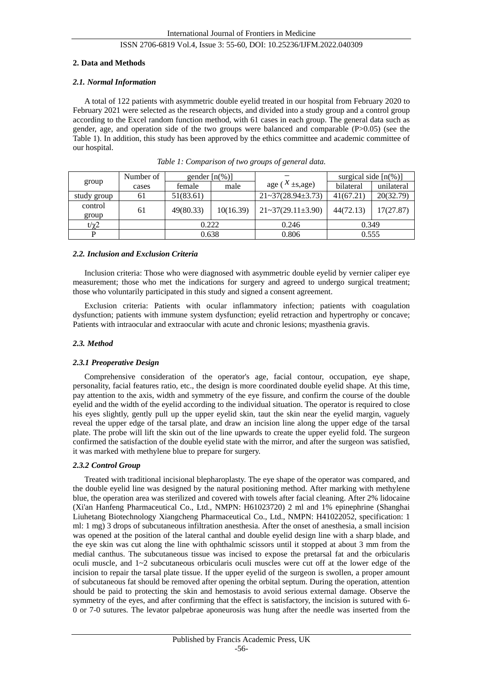## **2. Data and Methods**

## *2.1. Normal Information*

A total of 122 patients with asymmetric double eyelid treated in our hospital from February 2020 to February 2021 were selected as the research objects, and divided into a study group and a control group according to the Excel random function method, with 61 cases in each group. The general data such as gender, age, and operation side of the two groups were balanced and comparable  $(P>0.05)$  (see the Table 1). In addition, this study has been approved by the ethics committee and academic committee of our hospital.

| group            | Number of | gender $[n(\%)]$ |           |                                | surgical side $[n(\%)]$ |            |
|------------------|-----------|------------------|-----------|--------------------------------|-------------------------|------------|
|                  | cases     | female           | male      | age ( $^{\mathcal{X}}$ ±s,age) | bilateral               | unilateral |
| study group      | 61        | 51(83.61)        |           | $21 - 37(28.94 \pm 3.73)$      | 41(67.21)               | 20(32.79)  |
| control<br>group | 61        | 49(80.33)        | 10(16.39) | $21 \times 37(29.11 \pm 3.90)$ | 44(72.13)               | 17(27.87)  |
| $t/\chi$ 2       |           | 0.222            |           | 0.246                          | 0.349                   |            |
|                  |           | 0.638            |           | 0.806                          | 0.555                   |            |

*Table 1: Comparison of two groups of general data.*

#### *2.2. Inclusion and Exclusion Criteria*

Inclusion criteria: Those who were diagnosed with asymmetric double eyelid by vernier caliper eye measurement; those who met the indications for surgery and agreed to undergo surgical treatment; those who voluntarily participated in this study and signed a consent agreement.

Exclusion criteria: Patients with ocular inflammatory infection; patients with coagulation dysfunction; patients with immune system dysfunction; eyelid retraction and hypertrophy or concave; Patients with intraocular and extraocular with acute and chronic lesions; myasthenia gravis.

#### *2.3. Method*

#### *2.3.1 Preoperative Design*

Comprehensive consideration of the operator's age, facial contour, occupation, eye shape, personality, facial features ratio, etc., the design is more coordinated double eyelid shape. At this time, pay attention to the axis, width and symmetry of the eye fissure, and confirm the course of the double eyelid and the width of the eyelid according to the individual situation. The operator is required to close his eyes slightly, gently pull up the upper eyelid skin, taut the skin near the eyelid margin, vaguely reveal the upper edge of the tarsal plate, and draw an incision line along the upper edge of the tarsal plate. The probe will lift the skin out of the line upwards to create the upper eyelid fold. The surgeon confirmed the satisfaction of the double eyelid state with the mirror, and after the surgeon was satisfied, it was marked with methylene blue to prepare for surgery.

#### *2.3.2 Control Group*

Treated with traditional incisional blepharoplasty. The eye shape of the operator was compared, and the double eyelid line was designed by the natural positioning method. After marking with methylene blue, the operation area was sterilized and covered with towels after facial cleaning. After 2% lidocaine (Xi'an Hanfeng Pharmaceutical Co., Ltd., NMPN: H61023720) 2 ml and 1% epinephrine (Shanghai Liuhetang Biotechnology Xiangcheng Pharmaceutical Co., Ltd., NMPN: H41022052, specification: 1 ml: 1 mg) 3 drops of subcutaneous infiltration anesthesia. After the onset of anesthesia, a small incision was opened at the position of the lateral canthal and double eyelid design line with a sharp blade, and the eye skin was cut along the line with ophthalmic scissors until it stopped at about 3 mm from the medial canthus. The subcutaneous tissue was incised to expose the pretarsal fat and the orbicularis oculi muscle, and 1~2 subcutaneous orbicularis oculi muscles were cut off at the lower edge of the incision to repair the tarsal plate tissue. If the upper eyelid of the surgeon is swollen, a proper amount of subcutaneous fat should be removed after opening the orbital septum. During the operation, attention should be paid to protecting the skin and hemostasis to avoid serious external damage. Observe the symmetry of the eyes, and after confirming that the effect is satisfactory, the incision is sutured with 6- 0 or 7-0 sutures. The levator palpebrae aponeurosis was hung after the needle was inserted from the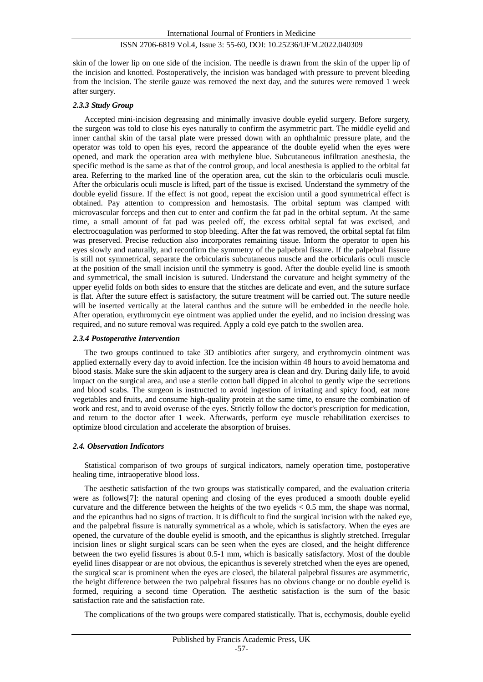skin of the lower lip on one side of the incision. The needle is drawn from the skin of the upper lip of the incision and knotted. Postoperatively, the incision was bandaged with pressure to prevent bleeding from the incision. The sterile gauze was removed the next day, and the sutures were removed 1 week after surgery.

## *2.3.3 Study Group*

Accepted mini-incision degreasing and minimally invasive double eyelid surgery. Before surgery, the surgeon was told to close his eyes naturally to confirm the asymmetric part. The middle eyelid and inner canthal skin of the tarsal plate were pressed down with an ophthalmic pressure plate, and the operator was told to open his eyes, record the appearance of the double eyelid when the eyes were opened, and mark the operation area with methylene blue. Subcutaneous infiltration anesthesia, the specific method is the same as that of the control group, and local anesthesia is applied to the orbital fat area. Referring to the marked line of the operation area, cut the skin to the orbicularis oculi muscle. After the orbicularis oculi muscle is lifted, part of the tissue is excised. Understand the symmetry of the double eyelid fissure. If the effect is not good, repeat the excision until a good symmetrical effect is obtained. Pay attention to compression and hemostasis. The orbital septum was clamped with microvascular forceps and then cut to enter and confirm the fat pad in the orbital septum. At the same time, a small amount of fat pad was peeled off, the excess orbital septal fat was excised, and electrocoagulation was performed to stop bleeding. After the fat was removed, the orbital septal fat film was preserved. Precise reduction also incorporates remaining tissue. Inform the operator to open his eyes slowly and naturally, and reconfirm the symmetry of the palpebral fissure. If the palpebral fissure is still not symmetrical, separate the orbicularis subcutaneous muscle and the orbicularis oculi muscle at the position of the small incision until the symmetry is good. After the double eyelid line is smooth and symmetrical, the small incision is sutured. Understand the curvature and height symmetry of the upper eyelid folds on both sides to ensure that the stitches are delicate and even, and the suture surface is flat. After the suture effect is satisfactory, the suture treatment will be carried out. The suture needle will be inserted vertically at the lateral canthus and the suture will be embedded in the needle hole. After operation, erythromycin eye ointment was applied under the eyelid, and no incision dressing was required, and no suture removal was required. Apply a cold eye patch to the swollen area.

#### *2.3.4 Postoperative Intervention*

The two groups continued to take 3D antibiotics after surgery, and erythromycin ointment was applied externally every day to avoid infection. Ice the incision within 48 hours to avoid hematoma and blood stasis. Make sure the skin adjacent to the surgery area is clean and dry. During daily life, to avoid impact on the surgical area, and use a sterile cotton ball dipped in alcohol to gently wipe the secretions and blood scabs. The surgeon is instructed to avoid ingestion of irritating and spicy food, eat more vegetables and fruits, and consume high-quality protein at the same time, to ensure the combination of work and rest, and to avoid overuse of the eyes. Strictly follow the doctor's prescription for medication, and return to the doctor after 1 week. Afterwards, perform eye muscle rehabilitation exercises to optimize blood circulation and accelerate the absorption of bruises.

## *2.4. Observation Indicators*

Statistical comparison of two groups of surgical indicators, namely operation time, postoperative healing time, intraoperative blood loss.

The aesthetic satisfaction of the two groups was statistically compared, and the evaluation criteria were as follows[7]: the natural opening and closing of the eyes produced a smooth double eyelid curvature and the difference between the heights of the two eyelids  $< 0.5$  mm, the shape was normal, and the epicanthus had no signs of traction. It is difficult to find the surgical incision with the naked eye, and the palpebral fissure is naturally symmetrical as a whole, which is satisfactory. When the eyes are opened, the curvature of the double eyelid is smooth, and the epicanthus is slightly stretched. Irregular incision lines or slight surgical scars can be seen when the eyes are closed, and the height difference between the two eyelid fissures is about 0.5-1 mm, which is basically satisfactory. Most of the double eyelid lines disappear or are not obvious, the epicanthus is severely stretched when the eyes are opened, the surgical scar is prominent when the eyes are closed, the bilateral palpebral fissures are asymmetric, the height difference between the two palpebral fissures has no obvious change or no double eyelid is formed, requiring a second time Operation. The aesthetic satisfaction is the sum of the basic satisfaction rate and the satisfaction rate.

The complications of the two groups were compared statistically. That is, ecchymosis, double eyelid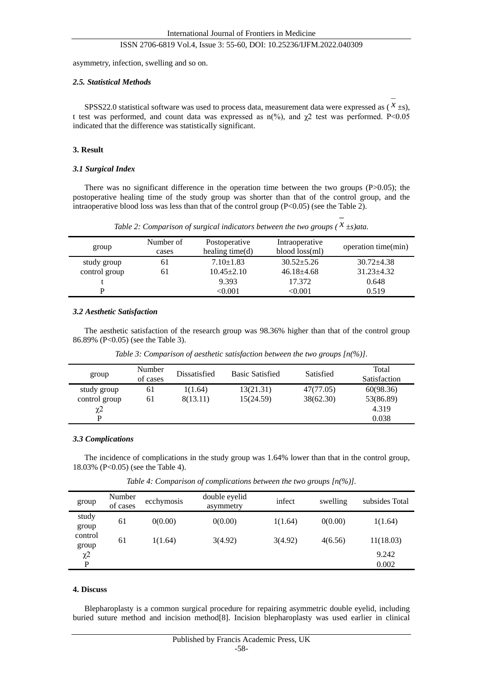asymmetry, infection, swelling and so on.

#### *2.5. Statistical Methods*

SPSS22.0 statistical software was used to process data, measurement data were expressed as  $(X \pm s)$ , t test was performed, and count data was expressed as  $n$ (%), and  $\chi$ 2 test was performed. P<0.05 indicated that the difference was statistically significant.

#### **3. Result**

#### *3.1 Surgical Index*

There was no significant difference in the operation time between the two groups (P>0.05); the postoperative healing time of the study group was shorter than that of the control group, and the intraoperative blood loss was less than that of the control group (P<0.05) (see the Table 2).

*Table 2: Comparison of surgical indicators between the two groups ( x ±s)ata.*

| group         | Number of<br>cases | Postoperative<br>healing time $(d)$ | Intraoperative<br>blood loss(ml) | operation time(min) |
|---------------|--------------------|-------------------------------------|----------------------------------|---------------------|
| study group   | 61                 | $7.10 + 1.83$                       | $30.52 + 5.26$                   | $30.72 + 4.38$      |
| control group | 61                 | $10.45 \pm 2.10$                    | $46.18 + 4.68$                   | $31.23 + 4.32$      |
|               |                    | 9.393                               | 17.372                           | 0.648               |
|               |                    | $<\!\!0.001$                        | $<$ 0.001 $\,$                   | 0.519               |

#### *3.2 Aesthetic Satisfaction*

The aesthetic satisfaction of the research group was 98.36% higher than that of the control group 86.89% (P<0.05) (see the Table 3).

*Table 3: Comparison of aesthetic satisfaction between the two groups [n(%)].*

| group               | Number<br>of cases | Dissatisfied | <b>Basic Satisfied</b> | Satisfied | Total<br><b>Satisfaction</b> |
|---------------------|--------------------|--------------|------------------------|-----------|------------------------------|
| study group         | 61                 | 1(1.64)      | 13(21.31)              | 47(77.05) | 60(98.36)                    |
| control group       | 61                 | 8(13.11)     | 15(24.59)              | 38(62.30) | 53(86.89)                    |
| $\chi$ <sup>2</sup> |                    |              |                        |           | 4.319                        |
| P                   |                    |              |                        |           | 0.038                        |

## *3.3 Complications*

The incidence of complications in the study group was 1.64% lower than that in the control group, 18.03% (P<0.05) (see the Table 4).

*Table 4: Comparison of complications between the two groups [n(%)].*

| group               | Number<br>of cases | ecchymosis | double eyelid<br>asymmetry | infect  | swelling | subsides Total |
|---------------------|--------------------|------------|----------------------------|---------|----------|----------------|
| study<br>group      | 61                 | 0(0.00)    | 0(0.00)                    | 1(1.64) | 0(0.00)  | 1(1.64)        |
| control<br>group    | 61                 | 1(1.64)    | 3(4.92)                    | 3(4.92) | 4(6.56)  | 11(18.03)      |
| $\chi$ <sup>2</sup> |                    |            |                            |         |          | 9.242          |
| P                   |                    |            |                            |         |          | 0.002          |

### **4. Discuss**

Blepharoplasty is a common surgical procedure for repairing asymmetric double eyelid, including buried suture method and incision method[8]. Incision blepharoplasty was used earlier in clinical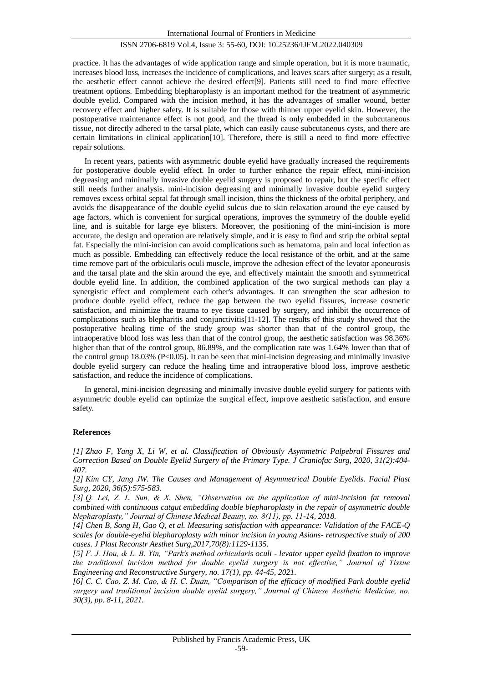practice. It has the advantages of wide application range and simple operation, but it is more traumatic, increases blood loss, increases the incidence of complications, and leaves scars after surgery; as a result, the aesthetic effect cannot achieve the desired effect[9]. Patients still need to find more effective treatment options. Embedding blepharoplasty is an important method for the treatment of asymmetric double eyelid. Compared with the incision method, it has the advantages of smaller wound, better recovery effect and higher safety. It is suitable for those with thinner upper eyelid skin. However, the postoperative maintenance effect is not good, and the thread is only embedded in the subcutaneous tissue, not directly adhered to the tarsal plate, which can easily cause subcutaneous cysts, and there are certain limitations in clinical application[10]. Therefore, there is still a need to find more effective repair solutions.

In recent years, patients with asymmetric double eyelid have gradually increased the requirements for postoperative double eyelid effect. In order to further enhance the repair effect, mini-incision degreasing and minimally invasive double eyelid surgery is proposed to repair, but the specific effect still needs further analysis. mini-incision degreasing and minimally invasive double eyelid surgery removes excess orbital septal fat through small incision, thins the thickness of the orbital periphery, and avoids the disappearance of the double eyelid sulcus due to skin relaxation around the eye caused by age factors, which is convenient for surgical operations, improves the symmetry of the double eyelid line, and is suitable for large eye blisters. Moreover, the positioning of the mini-incision is more accurate, the design and operation are relatively simple, and it is easy to find and strip the orbital septal fat. Especially the mini-incision can avoid complications such as hematoma, pain and local infection as much as possible. Embedding can effectively reduce the local resistance of the orbit, and at the same time remove part of the orbicularis oculi muscle, improve the adhesion effect of the levator aponeurosis and the tarsal plate and the skin around the eye, and effectively maintain the smooth and symmetrical double eyelid line. In addition, the combined application of the two surgical methods can play a synergistic effect and complement each other's advantages. It can strengthen the scar adhesion to produce double eyelid effect, reduce the gap between the two eyelid fissures, increase cosmetic satisfaction, and minimize the trauma to eye tissue caused by surgery, and inhibit the occurrence of complications such as blepharitis and conjunctivitis[11-12]. The results of this study showed that the postoperative healing time of the study group was shorter than that of the control group, the intraoperative blood loss was less than that of the control group, the aesthetic satisfaction was 98.36% higher than that of the control group, 86.89%, and the complication rate was 1.64% lower than that of the control group 18.03% (P<0.05). It can be seen that mini-incision degreasing and minimally invasive double eyelid surgery can reduce the healing time and intraoperative blood loss, improve aesthetic satisfaction, and reduce the incidence of complications.

In general, mini-incision degreasing and minimally invasive double eyelid surgery for patients with asymmetric double eyelid can optimize the surgical effect, improve aesthetic satisfaction, and ensure safety.

## **References**

*[1] Zhao F, Yang X, Li W, et al. Classification of Obviously Asymmetric Palpebral Fissures and Correction Based on Double Eyelid Surgery of the Primary Type. J Craniofac Surg, 2020, 31(2):404- 407.*

*[2] Kim CY, Jang JW. The Causes and Management of Asymmetrical Double Eyelids. Facial Plast Surg, 2020, 36(5):575-583.*

*[3] Q. Lei, Z. L. Sun, & X. Shen, "Observation on the application of mini-incision fat removal combined with continuous catgut embedding double blepharoplasty in the repair of asymmetric double blepharoplasty," Journal of Chinese Medical Beauty, no. 8(11), pp. 11-14, 2018.*

*[4] Chen B, Song H, Gao Q, et al. Measuring satisfaction with appearance: Validation of the FACE-Q scales for double-eyelid blepharoplasty with minor incision in young Asians- retrospective study of 200 cases. J Plast Reconstr Aesthet Surg,2017,70(8):1129-1135.*

*[5] F. J. Hou, & L. B. Yin, "Park's method orbicularis oculi - levator upper eyelid fixation to improve the traditional incision method for double eyelid surgery is not effective," Journal of Tissue Engineering and Reconstructive Surgery, no. 17(1), pp. 44-45, 2021.*

*[6] C. C. Cao, Z. M. Cao, & H. C. Duan, "Comparison of the efficacy of modified Park double eyelid surgery and traditional incision double eyelid surgery," Journal of Chinese Aesthetic Medicine, no. 30(3), pp. 8-11, 2021.*